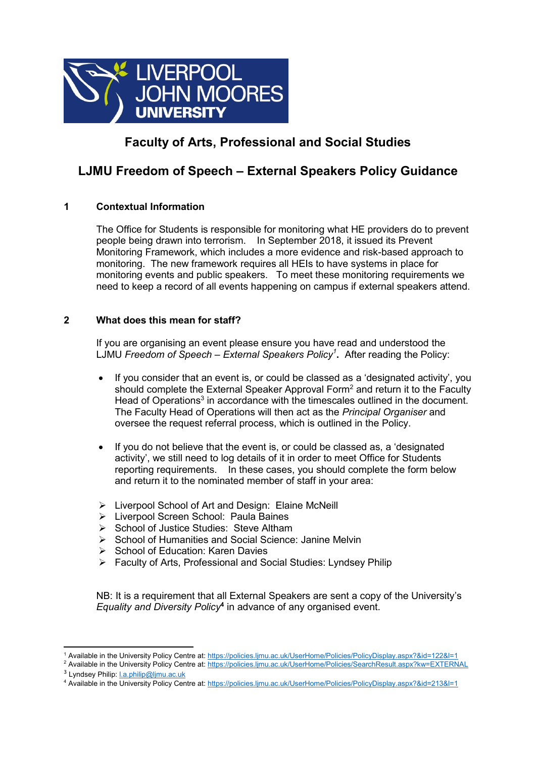

## **Faculty of Arts, Professional and Social Studies**

### **LJMU Freedom of Speech – External Speakers Policy Guidance**

### **1 Contextual Information**

The Office for Students is responsible for monitoring what HE providers do to prevent people being drawn into terrorism. In September 2018, it issued its Prevent Monitoring Framework, which includes a more evidence and risk-based approach to monitoring. The new framework requires all HEIs to have systems in place for monitoring events and public speakers. To meet these monitoring requirements we need to keep a record of all events happening on campus if external speakers attend.

#### **2 What does this mean for staff?**

If you are organising an event please ensure you have read and understood the LJMU *Freedom of Speech – External Speakers Policy<sup>1</sup>* **.** After reading the Policy:

- If you consider that an event is, or could be classed as a 'designated activity', you should complete the External Speaker Approval Form<sup>2</sup> and return it to the Faculty Head of Operations<sup>3</sup> in accordance with the timescales outlined in the document. The Faculty Head of Operations will then act as the *Principal Organiser* and oversee the request referral process, which is outlined in the Policy.
- If you do not believe that the event is, or could be classed as, a 'designated activity', we still need to log details of it in order to meet Office for Students reporting requirements. In these cases, you should complete the form below and return it to the nominated member of staff in your area:
- Liverpool School of Art and Design: Elaine McNeill
- > Liverpool Screen School: Paula Baines
- $\triangleright$  School of Justice Studies: Steve Altham
- $\triangleright$  School of Humanities and Social Science: Janine Melvin
- $\triangleright$  School of Education: Karen Davies
- Faculty of Arts, Professional and Social Studies: Lyndsey Philip

NB: It is a requirement that all External Speakers are sent a copy of the University's *Equality and Diversity Policy***<sup>4</sup>** in advance of any organised event.

 $\overline{a}$ <sup>1</sup> Available in the University Policy Centre at[: https://policies.ljmu.ac.uk/UserHome/Policies/PolicyDisplay.aspx?&id=122&l=1](https://policies.ljmu.ac.uk/UserHome/Policies/PolicyDisplay.aspx?&id=122&l=1)

<sup>&</sup>lt;sup>2</sup> Available in the University Policy Centre at[: https://policies.ljmu.ac.uk/UserHome/Policies/SearchResult.aspx?kw=EXTERNAL](https://policies.ljmu.ac.uk/UserHome/Policies/SearchResult.aspx?kw=EXTERNAL)

<sup>&</sup>lt;sup>3</sup> Lyndsey Philip: <u>I.a.philip@ljmu.ac.uk</u>

<sup>4</sup> Available in the University Policy Centre at[: https://policies.ljmu.ac.uk/UserHome/Policies/PolicyDisplay.aspx?&id=213&l=1](https://policies.ljmu.ac.uk/UserHome/Policies/PolicyDisplay.aspx?&id=213&l=1)